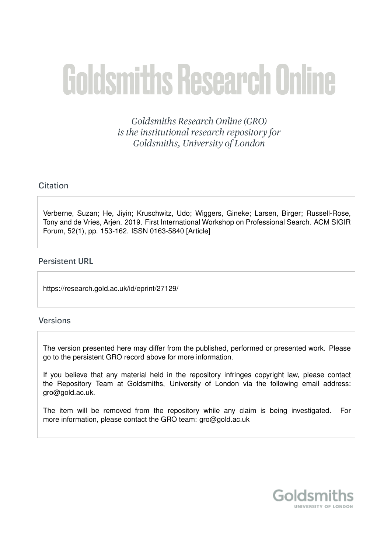# **Goldsmiths Research Online**

Goldsmiths Research Online (GRO) is the institutional research repository for Goldsmiths, University of London

#### Citation

Verberne, Suzan; He, Jiyin; Kruschwitz, Udo; Wiggers, Gineke; Larsen, Birger; Russell-Rose, Tony and de Vries, Arjen. 2019. First International Workshop on Professional Search. ACM SIGIR Forum, 52(1), pp. 153-162. ISSN 0163-5840 [Article]

#### **Persistent URL**

https://research.gold.ac.uk/id/eprint/27129/

#### **Versions**

The version presented here may differ from the published, performed or presented work. Please go to the persistent GRO record above for more information.

If you believe that any material held in the repository infringes copyright law, please contact the Repository Team at Goldsmiths, University of London via the following email address: gro@gold.ac.uk.

The item will be removed from the repository while any claim is being investigated. For more information, please contact the GRO team: gro@gold.ac.uk

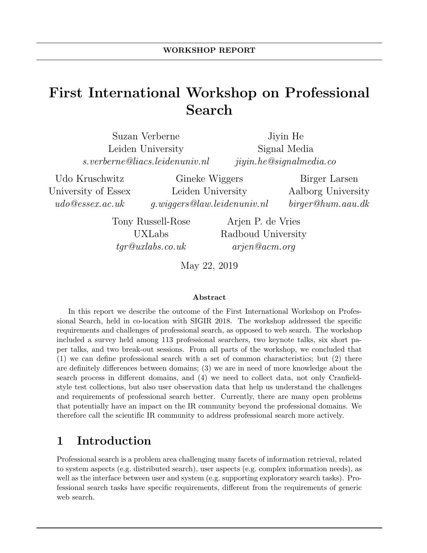## First International Workshop on Professional Search

| Suzan Verberne                 | Jiyin He                  |
|--------------------------------|---------------------------|
| Leiden University              | Signal Media              |
| s.verberne@liacs.leidenuniv.nl | ijyin. he@signal media.co |

Udo Kruschwitz University of Essex udo@essex.ac.uk

Gineke Wiggers Leiden University g.wiggers@law.leidenuniv.nl

Birger Larsen Aalborg University birger@hum.aau.dk

Tony Russell-Rose UXLabs tgr@uxlabs.co.uk

Arjen P. de Vries Radboud University arjen@acm.org

May 22, 2019

#### Abstract

In this report we describe the outcome of the First International Workshop on Professional Search, held in co-location with SIGIR 2018. The workshop addressed the specific requirements and challenges of professional search, as opposed to web search. The workshop included a survey held among 113 professional searchers, two keynote talks, six short paper talks, and two break-out sessions. From all parts of the workshop, we concluded that (1) we can define professional search with a set of common characteristics; but (2) there are definitely differences between domains; (3) we are in need of more knowledge about the search process in different domains, and (4) we need to collect data, not only Cranfieldstyle test collections, but also user observation data that help us understand the challenges and requirements of professional search better. Currently, there are many open problems that potentially have an impact on the IR community beyond the professional domains. We therefore call the scientific IR community to address professional search more actively.

## 1 Introduction

Professional search is a problem area challenging many facets of information retrieval, related to system aspects (e.g. distributed search), user aspects (e.g. complex information needs), as well as the interface between user and system (e.g. supporting exploratory search tasks). Professional search tasks have specific requirements, different from the requirements of generic web search.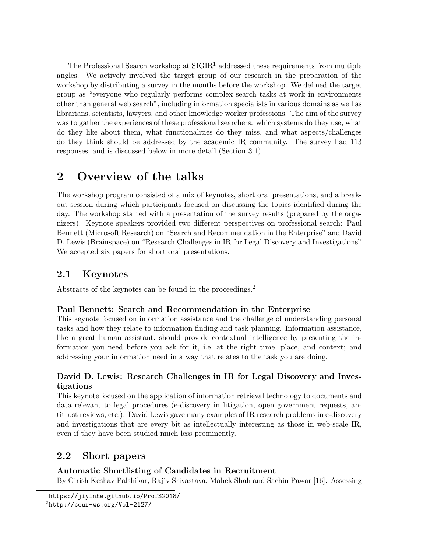The Professional Search workshop at  $\text{SIGIR}^1$  addressed these requirements from multiple angles. We actively involved the target group of our research in the preparation of the workshop by distributing a survey in the months before the workshop. We defined the target group as "everyone who regularly performs complex search tasks at work in environments other than general web search", including information specialists in various domains as well as librarians, scientists, lawyers, and other knowledge worker professions. The aim of the survey was to gather the experiences of these professional searchers: which systems do they use, what do they like about them, what functionalities do they miss, and what aspects/challenges do they think should be addressed by the academic IR community. The survey had 113 responses, and is discussed below in more detail (Section 3.1).

## 2 Overview of the talks

The workshop program consisted of a mix of keynotes, short oral presentations, and a breakout session during which participants focused on discussing the topics identified during the day. The workshop started with a presentation of the survey results (prepared by the organizers). Keynote speakers provided two different perspectives on professional search: Paul Bennett (Microsoft Research) on "Search and Recommendation in the Enterprise" and David D. Lewis (Brainspace) on "Research Challenges in IR for Legal Discovery and Investigations" We accepted six papers for short oral presentations.

#### 2.1 Keynotes

Abstracts of the keynotes can be found in the proceedings.<sup>2</sup>

#### Paul Bennett: Search and Recommendation in the Enterprise

This keynote focused on information assistance and the challenge of understanding personal tasks and how they relate to information finding and task planning. Information assistance, like a great human assistant, should provide contextual intelligence by presenting the information you need before you ask for it, i.e. at the right time, place, and context; and addressing your information need in a way that relates to the task you are doing.

#### David D. Lewis: Research Challenges in IR for Legal Discovery and Investigations

This keynote focused on the application of information retrieval technology to documents and data relevant to legal procedures (e-discovery in litigation, open government requests, antitrust reviews, etc.). David Lewis gave many examples of IR research problems in e-discovery and investigations that are every bit as intellectually interesting as those in web-scale IR, even if they have been studied much less prominently.

#### 2.2 Short papers

#### Automatic Shortlisting of Candidates in Recruitment

By Girish Keshav Palshikar, Rajiv Srivastava, Mahek Shah and Sachin Pawar [16]. Assessing

<sup>&</sup>lt;sup>1</sup>https://jiyinhe.github.io/ProfS2018/ <sup>2</sup>http://ceur-ws.org/Vol-2127/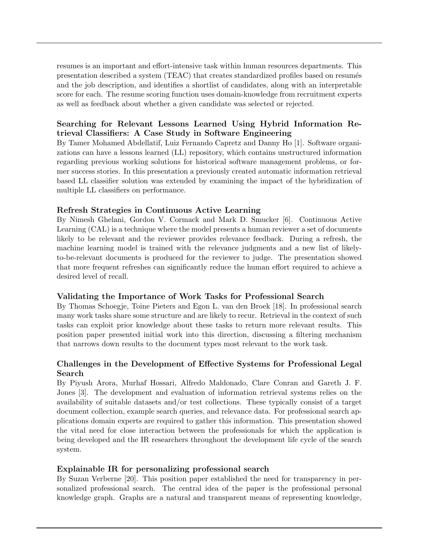resumes is an important and effort-intensive task within human resources departments. This presentation described a system (TEAC) that creates standardized profiles based on resumés and the job description, and identifies a shortlist of candidates, along with an interpretable score for each. The resume scoring function uses domain-knowledge from recruitment experts as well as feedback about whether a given candidate was selected or rejected.

#### Searching for Relevant Lessons Learned Using Hybrid Information Retrieval Classifiers: A Case Study in Software Engineering

By Tamer Mohamed Abdellatif, Luiz Fernando Capretz and Danny Ho [1]. Software organizations can have a lessons learned (LL) repository, which contains unstructured information regarding previous working solutions for historical software management problems, or former success stories. In this presentation a previously created automatic information retrieval based LL classifier solution was extended by examining the impact of the hybridization of multiple LL classifiers on performance.

#### Refresh Strategies in Continuous Active Learning

By Nimesh Ghelani, Gordon V. Cormack and Mark D. Smucker [6]. Continuous Active Learning (CAL) is a technique where the model presents a human reviewer a set of documents likely to be relevant and the reviewer provides relevance feedback. During a refresh, the machine learning model is trained with the relevance judgments and a new list of likelyto-be-relevant documents is produced for the reviewer to judge. The presentation showed that more frequent refreshes can significantly reduce the human effort required to achieve a desired level of recall.

#### Validating the Importance of Work Tasks for Professional Search

By Thomas Schoegje, Toine Pieters and Egon L. van den Broek [18]. In professional search many work tasks share some structure and are likely to recur. Retrieval in the context of such tasks can exploit prior knowledge about these tasks to return more relevant results. This position paper presented initial work into this direction, discussing a filtering mechanism that narrows down results to the document types most relevant to the work task.

#### Challenges in the Development of Effective Systems for Professional Legal Search

By Piyush Arora, Murhaf Hossari, Alfredo Maldonado, Clare Conran and Gareth J. F. Jones [3]. The development and evaluation of information retrieval systems relies on the availability of suitable datasets and/or test collections. These typically consist of a target document collection, example search queries, and relevance data. For professional search applications domain experts are required to gather this information. This presentation showed the vital need for close interaction between the professionals for which the application is being developed and the IR researchers throughout the development life cycle of the search system.

#### Explainable IR for personalizing professional search

By Suzan Verberne [20]. This position paper established the need for transparency in personalized professional search. The central idea of the paper is the professional personal knowledge graph. Graphs are a natural and transparent means of representing knowledge,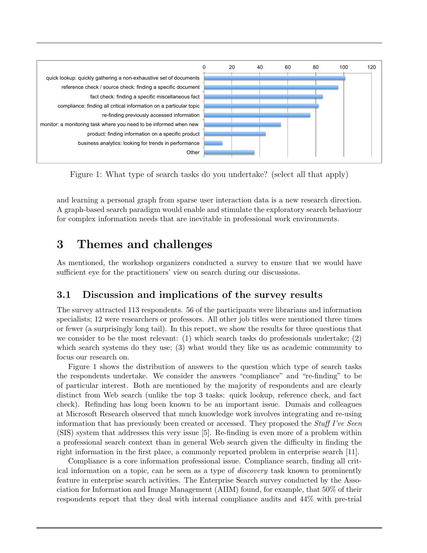

Figure 1: What type of search tasks do you undertake? (select all that apply)

and learning a personal graph from sparse user interaction data is a new research direction. A graph-based search paradigm would enable and stimulate the exploratory search behaviour for complex information needs that are inevitable in professional work environments.

## 3 Themes and challenges

As mentioned, the workshop organizers conducted a survey to ensure that we would have sufficient eye for the practitioners' view on search during our discussions.

#### 3.1 Discussion and implications of the survey results

The survey attracted 113 respondents. 56 of the participants were librarians and information specialists; 12 were researchers or professors. All other job titles were mentioned three times or fewer (a surprisingly long tail). In this report, we show the results for three questions that we consider to be the most relevant: (1) which search tasks do professionals undertake; (2) which search systems do they use; (3) what would they like us as academic community to focus our research on.

Figure 1 shows the distribution of answers to the question which type of search tasks the respondents undertake. We consider the answers "compliance" and "re-finding" to be of particular interest. Both are mentioned by the majority of respondents and are clearly distinct from Web search (unlike the top 3 tasks: quick lookup, reference check, and fact check). Refinding has long been known to be an important issue. Dumais and colleagues at Microsoft Research observed that much knowledge work involves integrating and re-using information that has previously been created or accessed. They proposed the *Stuff I've Seen* (SIS) system that addresses this very issue [5]. Re-finding is even more of a problem within a professional search context than in general Web search given the difficulty in finding the right information in the first place, a commonly reported problem in enterprise search [11].

Compliance is a core information professional issue. Compliance search, finding all critical information on a topic, can be seen as a type of discovery task known to prominently feature in enterprise search activities. The Enterprise Search survey conducted by the Association for Information and Image Management (AIIM) found, for example, that 50% of their respondents report that they deal with internal compliance audits and 44% with pre-trial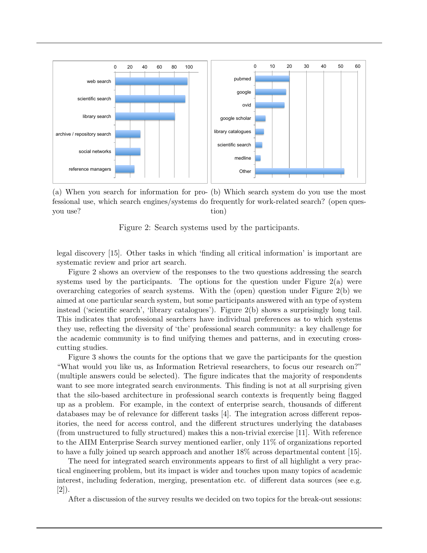

(a) When you search for information for pro-(b) Which search system do you use the most fessional use, which search engines/systems do frequently for work-related search? (open quesyou use? tion)

Figure 2: Search systems used by the participants.

legal discovery [15]. Other tasks in which 'finding all critical information' is important are systematic review and prior art search.

Figure 2 shows an overview of the responses to the two questions addressing the search systems used by the participants. The options for the question under Figure  $2(a)$  were overarching categories of search systems. With the (open) question under Figure 2(b) we aimed at one particular search system, but some participants answered with an type of system instead ('scientific search', 'library catalogues'). Figure 2(b) shows a surprisingly long tail. This indicates that professional searchers have individual preferences as to which systems they use, reflecting the diversity of 'the' professional search community: a key challenge for the academic community is to find unifying themes and patterns, and in executing crosscutting studies.

Figure 3 shows the counts for the options that we gave the participants for the question "What would you like us, as Information Retrieval researchers, to focus our research on?" (multiple answers could be selected). The figure indicates that the majority of respondents want to see more integrated search environments. This finding is not at all surprising given that the silo-based architecture in professional search contexts is frequently being flagged up as a problem. For example, in the context of enterprise search, thousands of different databases may be of relevance for different tasks [4]. The integration across different repositories, the need for access control, and the different structures underlying the databases (from unstructured to fully structured) makes this a non-trivial exercise [11]. With reference to the AIIM Enterprise Search survey mentioned earlier, only 11% of organizations reported to have a fully joined up search approach and another 18% across departmental content [15].

The need for integrated search environments appears to first of all highlight a very practical engineering problem, but its impact is wider and touches upon many topics of academic interest, including federation, merging, presentation etc. of different data sources (see e.g. [2]).

After a discussion of the survey results we decided on two topics for the break-out sessions: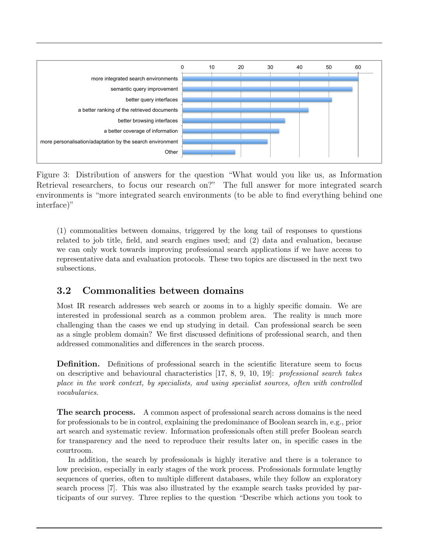

Figure 3: Distribution of answers for the question "What would you like us, as Information Retrieval researchers, to focus our research on?" The full answer for more integrated search environments is "more integrated search environments (to be able to find everything behind one interface)"

(1) commonalities between domains, triggered by the long tail of responses to questions related to job title, field, and search engines used; and (2) data and evaluation, because we can only work towards improving professional search applications if we have access to representative data and evaluation protocols. These two topics are discussed in the next two subsections.

#### 3.2 Commonalities between domains

Most IR research addresses web search or zooms in to a highly specific domain. We are interested in professional search as a common problem area. The reality is much more challenging than the cases we end up studying in detail. Can professional search be seen as a single problem domain? We first discussed definitions of professional search, and then addressed commonalities and differences in the search process.

Definition. Definitions of professional search in the scientific literature seem to focus on descriptive and behavioural characteristics [17, 8, 9, 10, 19]: professional search takes place in the work context, by specialists, and using specialist sources, often with controlled vocabularies.

The search process. A common aspect of professional search across domains is the need for professionals to be in control, explaining the predominance of Boolean search in, e.g., prior art search and systematic review. Information professionals often still prefer Boolean search for transparency and the need to reproduce their results later on, in specific cases in the courtroom.

In addition, the search by professionals is highly iterative and there is a tolerance to low precision, especially in early stages of the work process. Professionals formulate lengthy sequences of queries, often to multiple different databases, while they follow an exploratory search process [7]. This was also illustrated by the example search tasks provided by participants of our survey. Three replies to the question "Describe which actions you took to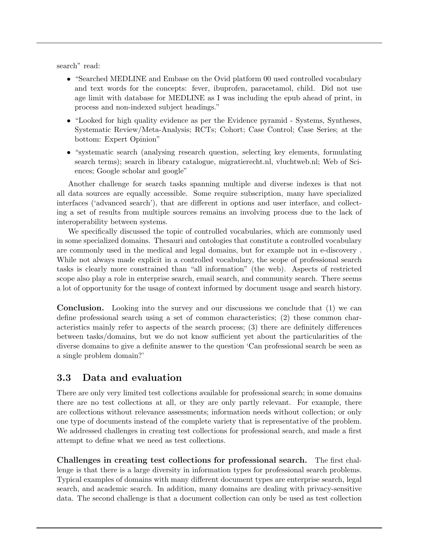search" read:

- "Searched MEDLINE and Embase on the Ovid platform 00 used controlled vocabulary and text words for the concepts: fever, ibuprofen, paracetamol, child. Did not use age limit with database for MEDLINE as I was including the epub ahead of print, in process and non-indexed subject headings."
- "Looked for high quality evidence as per the Evidence pyramid Systems, Syntheses, Systematic Review/Meta-Analysis; RCTs; Cohort; Case Control; Case Series; at the bottom: Expert Opinion"
- "systematic search (analysing research question, selecting key elements, formulating search terms); search in library catalogue, migratierecht.nl, vluchtweb.nl; Web of Sciences; Google scholar and google"

Another challenge for search tasks spanning multiple and diverse indexes is that not all data sources are equally accessible. Some require subscription, many have specialized interfaces ('advanced search'), that are different in options and user interface, and collecting a set of results from multiple sources remains an involving process due to the lack of interoperability between systems.

We specifically discussed the topic of controlled vocabularies, which are commonly used in some specialized domains. Thesauri and ontologies that constitute a controlled vocabulary are commonly used in the medical and legal domains, but for example not in e-discovery . While not always made explicit in a controlled vocabulary, the scope of professional search tasks is clearly more constrained than "all information" (the web). Aspects of restricted scope also play a role in enterprise search, email search, and community search. There seems a lot of opportunity for the usage of context informed by document usage and search history.

Conclusion. Looking into the survey and our discussions we conclude that (1) we can define professional search using a set of common characteristics; (2) these common characteristics mainly refer to aspects of the search process; (3) there are definitely differences between tasks/domains, but we do not know sufficient yet about the particularities of the diverse domains to give a definite answer to the question 'Can professional search be seen as a single problem domain?'

#### 3.3 Data and evaluation

There are only very limited test collections available for professional search; in some domains there are no test collections at all, or they are only partly relevant. For example, there are collections without relevance assessments; information needs without collection; or only one type of documents instead of the complete variety that is representative of the problem. We addressed challenges in creating test collections for professional search, and made a first attempt to define what we need as test collections.

Challenges in creating test collections for professional search. The first challenge is that there is a large diversity in information types for professional search problems. Typical examples of domains with many different document types are enterprise search, legal search, and academic search. In addition, many domains are dealing with privacy-sensitive data. The second challenge is that a document collection can only be used as test collection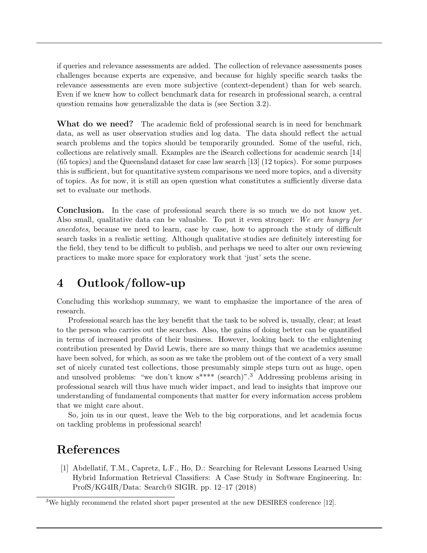if queries and relevance assessments are added. The collection of relevance assessments poses challenges because experts are expensive, and because for highly specific search tasks the relevance assessments are even more subjective (context-dependent) than for web search. Even if we knew how to collect benchmark data for research in professional search, a central question remains how generalizable the data is (see Section 3.2).

What do we need? The academic field of professional search is in need for benchmark data, as well as user observation studies and log data. The data should reflect the actual search problems and the topics should be temporarily grounded. Some of the useful, rich, collections are relatively small. Examples are the iSearch collections for academic search [14] (65 topics) and the Queensland dataset for case law search [13] (12 topics). For some purposes this is sufficient, but for quantitative system comparisons we need more topics, and a diversity of topics. As for now, it is still an open question what constitutes a sufficiently diverse data set to evaluate our methods.

Conclusion. In the case of professional search there is so much we do not know yet. Also small, qualitative data can be valuable. To put it even stronger: We are hungry for anecdotes, because we need to learn, case by case, how to approach the study of difficult search tasks in a realistic setting. Although qualitative studies are definitely interesting for the field, they tend to be difficult to publish, and perhaps we need to alter our own reviewing practices to make more space for exploratory work that 'just' sets the scene.

## 4 Outlook/follow-up

Concluding this workshop summary, we want to emphasize the importance of the area of research.

Professional search has the key benefit that the task to be solved is, usually, clear; at least to the person who carries out the searches. Also, the gains of doing better can be quantified in terms of increased profits of their business. However, looking back to the enlightening contribution presented by David Lewis, there are so many things that we academics assume have been solved, for which, as soon as we take the problem out of the context of a very small set of nicely curated test collections, those presumably simple steps turn out as huge, open and unsolved problems: "we don't know  $s^{***}$  (search)".<sup>3</sup> Addressing problems arising in professional search will thus have much wider impact, and lead to insights that improve our understanding of fundamental components that matter for every information access problem that we might care about.

So, join us in our quest, leave the Web to the big corporations, and let academia focus on tackling problems in professional search!

## References

[1] Abdellatif, T.M., Capretz, L.F., Ho, D.: Searching for Relevant Lessons Learned Using Hybrid Information Retrieval Classifiers: A Case Study in Software Engineering. In: ProfS/KG4IR/Data: Search@ SIGIR. pp. 12–17 (2018)

<sup>3</sup>We highly recommend the related short paper presented at the new DESIRES conference [12].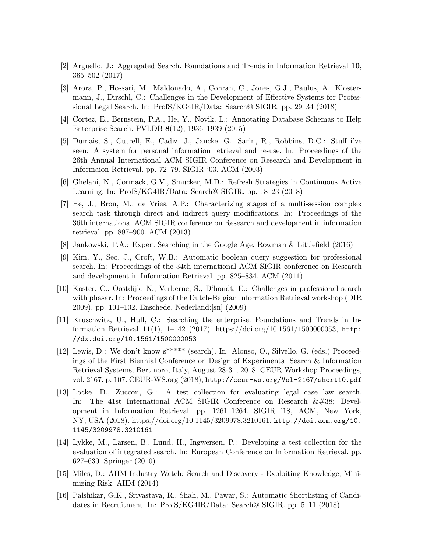- [2] Arguello, J.: Aggregated Search. Foundations and Trends in Information Retrieval 10, 365–502 (2017)
- [3] Arora, P., Hossari, M., Maldonado, A., Conran, C., Jones, G.J., Paulus, A., Klostermann, J., Dirschl, C.: Challenges in the Development of Effective Systems for Professional Legal Search. In: ProfS/KG4IR/Data: Search@ SIGIR. pp. 29–34 (2018)
- [4] Cortez, E., Bernstein, P.A., He, Y., Novik, L.: Annotating Database Schemas to Help Enterprise Search. PVLDB 8(12), 1936–1939 (2015)
- [5] Dumais, S., Cutrell, E., Cadiz, J., Jancke, G., Sarin, R., Robbins, D.C.: Stuff i've seen: A system for personal information retrieval and re-use. In: Proceedings of the 26th Annual International ACM SIGIR Conference on Research and Development in Informaion Retrieval. pp. 72–79. SIGIR '03, ACM (2003)
- [6] Ghelani, N., Cormack, G.V., Smucker, M.D.: Refresh Strategies in Continuous Active Learning. In: ProfS/KG4IR/Data: Search@ SIGIR. pp. 18–23 (2018)
- [7] He, J., Bron, M., de Vries, A.P.: Characterizing stages of a multi-session complex search task through direct and indirect query modifications. In: Proceedings of the 36th international ACM SIGIR conference on Research and development in information retrieval. pp. 897–900. ACM (2013)
- [8] Jankowski, T.A.: Expert Searching in the Google Age. Rowman & Littlefield (2016)
- [9] Kim, Y., Seo, J., Croft, W.B.: Automatic boolean query suggestion for professional search. In: Proceedings of the 34th international ACM SIGIR conference on Research and development in Information Retrieval. pp. 825–834. ACM (2011)
- [10] Koster, C., Oostdijk, N., Verberne, S., D'hondt, E.: Challenges in professional search with phasar. In: Proceedings of the Dutch-Belgian Information Retrieval workshop (DIR 2009). pp. 101–102. Enschede, Nederland:[sn] (2009)
- [11] Kruschwitz, U., Hull, C.: Searching the enterprise. Foundations and Trends in Information Retrieval 11(1), 1–142 (2017). https://doi.org/10.1561/1500000053, http: //dx.doi.org/10.1561/1500000053
- [12] Lewis, D.: We don't know  $s^{****}$  (search). In: Alonso, O., Silvello, G. (eds.) Proceedings of the First Biennial Conference on Design of Experimental Search & Information Retrieval Systems, Bertinoro, Italy, August 28-31, 2018. CEUR Workshop Proceedings, vol. 2167, p. 107. CEUR-WS.org (2018), http://ceur-ws.org/Vol-2167/short10.pdf
- [13] Locke, D., Zuccon, G.: A test collection for evaluating legal case law search. In: The 41st International ACM SIGIR Conference on Research  $\&\#38$ ; Development in Information Retrieval. pp. 1261–1264. SIGIR '18, ACM, New York, NY, USA (2018). https://doi.org/10.1145/3209978.3210161, http://doi.acm.org/10. 1145/3209978.3210161
- [14] Lykke, M., Larsen, B., Lund, H., Ingwersen, P.: Developing a test collection for the evaluation of integrated search. In: European Conference on Information Retrieval. pp. 627–630. Springer (2010)
- [15] Miles, D.: AIIM Industry Watch: Search and Discovery Exploiting Knowledge, Minimizing Risk. AIIM (2014)
- [16] Palshikar, G.K., Srivastava, R., Shah, M., Pawar, S.: Automatic Shortlisting of Candidates in Recruitment. In: ProfS/KG4IR/Data: Search@ SIGIR. pp. 5–11 (2018)